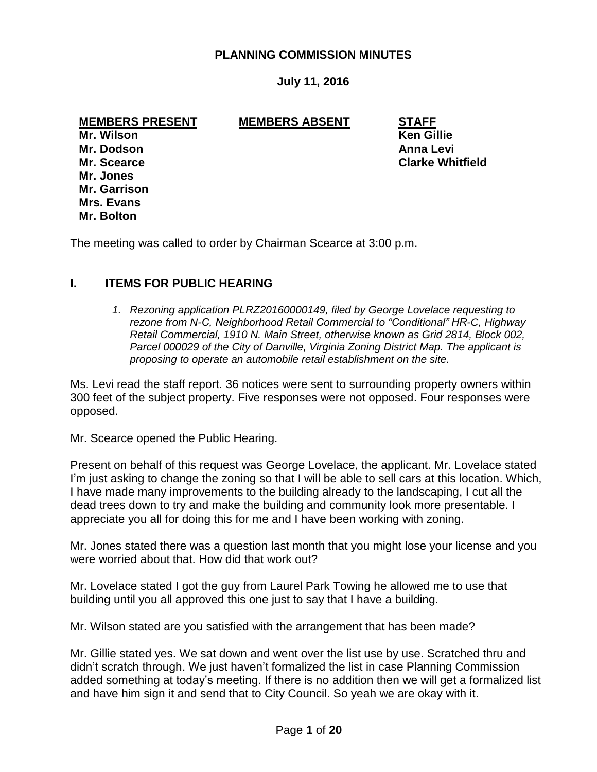## **PLANNING COMMISSION MINUTES**

## **July 11, 2016**

**MEMBERS PRESENT MEMBERS ABSENT STAFF**

**Mr. Dodson Anna Levi Mr. Jones Mr. Garrison Mrs. Evans Mr. Bolton**

**Mr. Wilson Ken Gillie Mr. Scearce Clarke Whitfield**

The meeting was called to order by Chairman Scearce at 3:00 p.m.

### **I. ITEMS FOR PUBLIC HEARING**

*1. Rezoning application PLRZ20160000149, filed by George Lovelace requesting to rezone from N-C, Neighborhood Retail Commercial to "Conditional" HR-C, Highway Retail Commercial, 1910 N. Main Street, otherwise known as Grid 2814, Block 002, Parcel 000029 of the City of Danville, Virginia Zoning District Map. The applicant is proposing to operate an automobile retail establishment on the site.* 

Ms. Levi read the staff report. 36 notices were sent to surrounding property owners within 300 feet of the subject property. Five responses were not opposed. Four responses were opposed.

Mr. Scearce opened the Public Hearing.

Present on behalf of this request was George Lovelace, the applicant. Mr. Lovelace stated I'm just asking to change the zoning so that I will be able to sell cars at this location. Which, I have made many improvements to the building already to the landscaping, I cut all the dead trees down to try and make the building and community look more presentable. I appreciate you all for doing this for me and I have been working with zoning.

Mr. Jones stated there was a question last month that you might lose your license and you were worried about that. How did that work out?

Mr. Lovelace stated I got the guy from Laurel Park Towing he allowed me to use that building until you all approved this one just to say that I have a building.

Mr. Wilson stated are you satisfied with the arrangement that has been made?

Mr. Gillie stated yes. We sat down and went over the list use by use. Scratched thru and didn't scratch through. We just haven't formalized the list in case Planning Commission added something at today's meeting. If there is no addition then we will get a formalized list and have him sign it and send that to City Council. So yeah we are okay with it.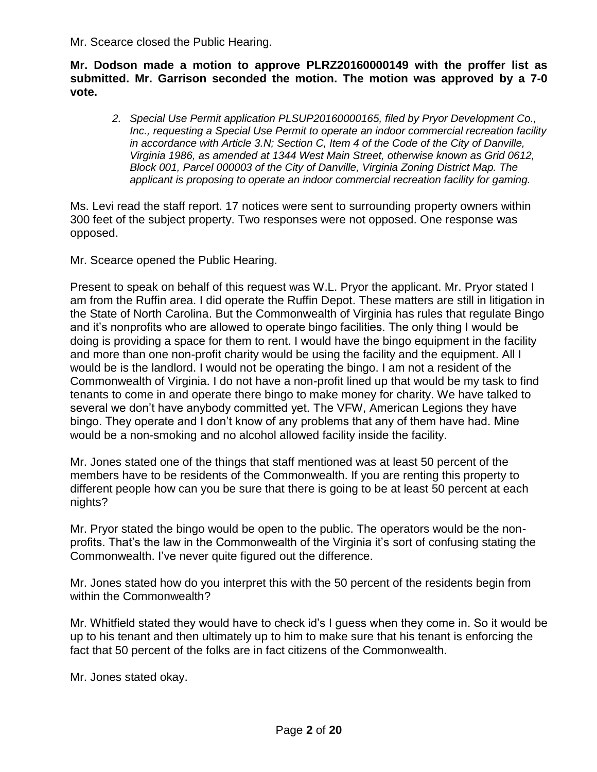Mr. Scearce closed the Public Hearing.

**Mr. Dodson made a motion to approve PLRZ20160000149 with the proffer list as submitted. Mr. Garrison seconded the motion. The motion was approved by a 7-0 vote.**

*2. Special Use Permit application PLSUP20160000165, filed by Pryor Development Co., Inc., requesting a Special Use Permit to operate an indoor commercial recreation facility in accordance with Article 3.N; Section C, Item 4 of the Code of the City of Danville, Virginia 1986, as amended at 1344 West Main Street, otherwise known as Grid 0612, Block 001, Parcel 000003 of the City of Danville, Virginia Zoning District Map. The applicant is proposing to operate an indoor commercial recreation facility for gaming.* 

Ms. Levi read the staff report. 17 notices were sent to surrounding property owners within 300 feet of the subject property. Two responses were not opposed. One response was opposed.

Mr. Scearce opened the Public Hearing.

Present to speak on behalf of this request was W.L. Pryor the applicant. Mr. Pryor stated I am from the Ruffin area. I did operate the Ruffin Depot. These matters are still in litigation in the State of North Carolina. But the Commonwealth of Virginia has rules that regulate Bingo and it's nonprofits who are allowed to operate bingo facilities. The only thing I would be doing is providing a space for them to rent. I would have the bingo equipment in the facility and more than one non-profit charity would be using the facility and the equipment. All I would be is the landlord. I would not be operating the bingo. I am not a resident of the Commonwealth of Virginia. I do not have a non-profit lined up that would be my task to find tenants to come in and operate there bingo to make money for charity. We have talked to several we don't have anybody committed yet. The VFW, American Legions they have bingo. They operate and I don't know of any problems that any of them have had. Mine would be a non-smoking and no alcohol allowed facility inside the facility.

Mr. Jones stated one of the things that staff mentioned was at least 50 percent of the members have to be residents of the Commonwealth. If you are renting this property to different people how can you be sure that there is going to be at least 50 percent at each nights?

Mr. Pryor stated the bingo would be open to the public. The operators would be the nonprofits. That's the law in the Commonwealth of the Virginia it's sort of confusing stating the Commonwealth. I've never quite figured out the difference.

Mr. Jones stated how do you interpret this with the 50 percent of the residents begin from within the Commonwealth?

Mr. Whitfield stated they would have to check id's I guess when they come in. So it would be up to his tenant and then ultimately up to him to make sure that his tenant is enforcing the fact that 50 percent of the folks are in fact citizens of the Commonwealth.

Mr. Jones stated okay.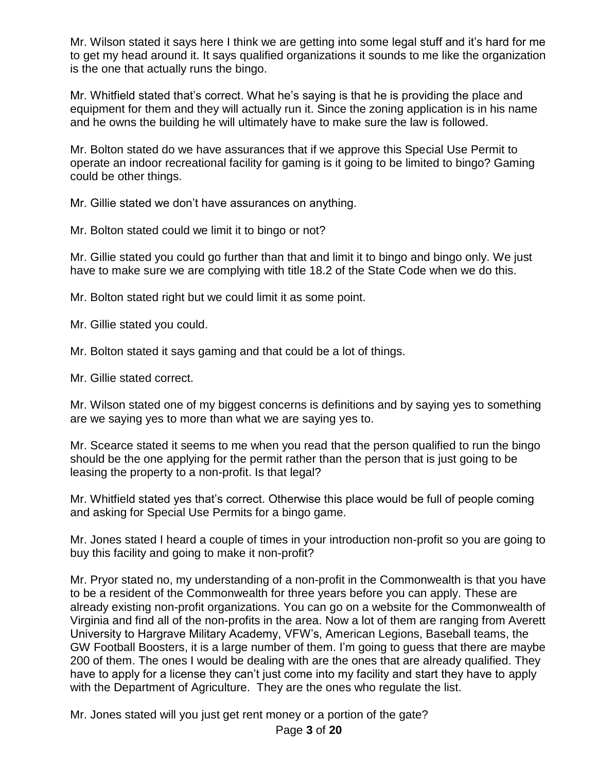Mr. Wilson stated it says here I think we are getting into some legal stuff and it's hard for me to get my head around it. It says qualified organizations it sounds to me like the organization is the one that actually runs the bingo.

Mr. Whitfield stated that's correct. What he's saying is that he is providing the place and equipment for them and they will actually run it. Since the zoning application is in his name and he owns the building he will ultimately have to make sure the law is followed.

Mr. Bolton stated do we have assurances that if we approve this Special Use Permit to operate an indoor recreational facility for gaming is it going to be limited to bingo? Gaming could be other things.

Mr. Gillie stated we don't have assurances on anything.

Mr. Bolton stated could we limit it to bingo or not?

Mr. Gillie stated you could go further than that and limit it to bingo and bingo only. We just have to make sure we are complying with title 18.2 of the State Code when we do this.

Mr. Bolton stated right but we could limit it as some point.

Mr. Gillie stated you could.

Mr. Bolton stated it says gaming and that could be a lot of things.

Mr. Gillie stated correct.

Mr. Wilson stated one of my biggest concerns is definitions and by saying yes to something are we saying yes to more than what we are saying yes to.

Mr. Scearce stated it seems to me when you read that the person qualified to run the bingo should be the one applying for the permit rather than the person that is just going to be leasing the property to a non-profit. Is that legal?

Mr. Whitfield stated yes that's correct. Otherwise this place would be full of people coming and asking for Special Use Permits for a bingo game.

Mr. Jones stated I heard a couple of times in your introduction non-profit so you are going to buy this facility and going to make it non-profit?

Mr. Pryor stated no, my understanding of a non-profit in the Commonwealth is that you have to be a resident of the Commonwealth for three years before you can apply. These are already existing non-profit organizations. You can go on a website for the Commonwealth of Virginia and find all of the non-profits in the area. Now a lot of them are ranging from Averett University to Hargrave Military Academy, VFW's, American Legions, Baseball teams, the GW Football Boosters, it is a large number of them. I'm going to guess that there are maybe 200 of them. The ones I would be dealing with are the ones that are already qualified. They have to apply for a license they can't just come into my facility and start they have to apply with the Department of Agriculture. They are the ones who regulate the list.

Mr. Jones stated will you just get rent money or a portion of the gate?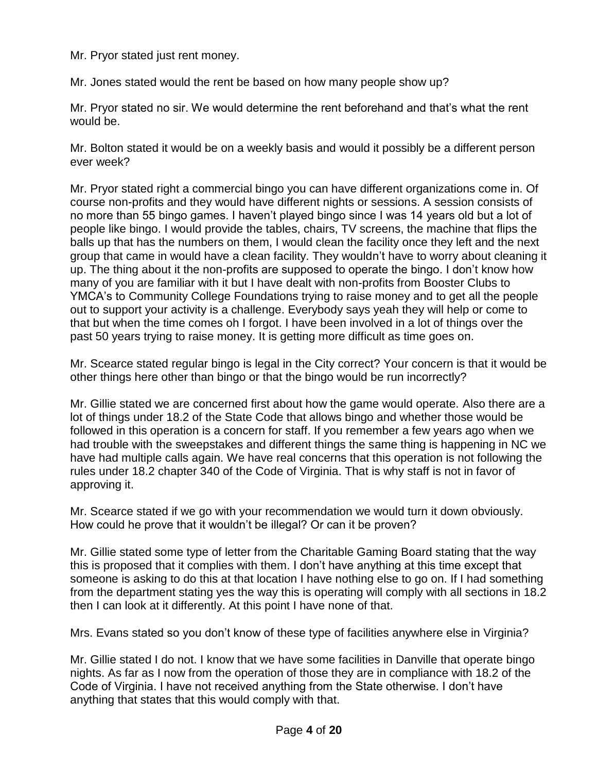Mr. Pryor stated just rent money.

Mr. Jones stated would the rent be based on how many people show up?

Mr. Pryor stated no sir. We would determine the rent beforehand and that's what the rent would be.

Mr. Bolton stated it would be on a weekly basis and would it possibly be a different person ever week?

Mr. Pryor stated right a commercial bingo you can have different organizations come in. Of course non-profits and they would have different nights or sessions. A session consists of no more than 55 bingo games. I haven't played bingo since I was 14 years old but a lot of people like bingo. I would provide the tables, chairs, TV screens, the machine that flips the balls up that has the numbers on them, I would clean the facility once they left and the next group that came in would have a clean facility. They wouldn't have to worry about cleaning it up. The thing about it the non-profits are supposed to operate the bingo. I don't know how many of you are familiar with it but I have dealt with non-profits from Booster Clubs to YMCA's to Community College Foundations trying to raise money and to get all the people out to support your activity is a challenge. Everybody says yeah they will help or come to that but when the time comes oh I forgot. I have been involved in a lot of things over the past 50 years trying to raise money. It is getting more difficult as time goes on.

Mr. Scearce stated regular bingo is legal in the City correct? Your concern is that it would be other things here other than bingo or that the bingo would be run incorrectly?

Mr. Gillie stated we are concerned first about how the game would operate. Also there are a lot of things under 18.2 of the State Code that allows bingo and whether those would be followed in this operation is a concern for staff. If you remember a few years ago when we had trouble with the sweepstakes and different things the same thing is happening in NC we have had multiple calls again. We have real concerns that this operation is not following the rules under 18.2 chapter 340 of the Code of Virginia. That is why staff is not in favor of approving it.

Mr. Scearce stated if we go with your recommendation we would turn it down obviously. How could he prove that it wouldn't be illegal? Or can it be proven?

Mr. Gillie stated some type of letter from the Charitable Gaming Board stating that the way this is proposed that it complies with them. I don't have anything at this time except that someone is asking to do this at that location I have nothing else to go on. If I had something from the department stating yes the way this is operating will comply with all sections in 18.2 then I can look at it differently. At this point I have none of that.

Mrs. Evans stated so you don't know of these type of facilities anywhere else in Virginia?

Mr. Gillie stated I do not. I know that we have some facilities in Danville that operate bingo nights. As far as I now from the operation of those they are in compliance with 18.2 of the Code of Virginia. I have not received anything from the State otherwise. I don't have anything that states that this would comply with that.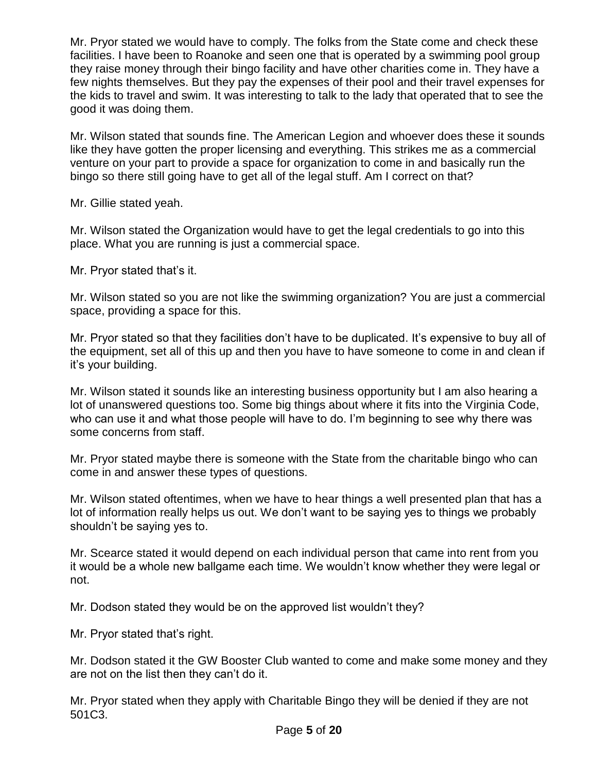Mr. Pryor stated we would have to comply. The folks from the State come and check these facilities. I have been to Roanoke and seen one that is operated by a swimming pool group they raise money through their bingo facility and have other charities come in. They have a few nights themselves. But they pay the expenses of their pool and their travel expenses for the kids to travel and swim. It was interesting to talk to the lady that operated that to see the good it was doing them.

Mr. Wilson stated that sounds fine. The American Legion and whoever does these it sounds like they have gotten the proper licensing and everything. This strikes me as a commercial venture on your part to provide a space for organization to come in and basically run the bingo so there still going have to get all of the legal stuff. Am I correct on that?

Mr. Gillie stated yeah.

Mr. Wilson stated the Organization would have to get the legal credentials to go into this place. What you are running is just a commercial space.

Mr. Pryor stated that's it.

Mr. Wilson stated so you are not like the swimming organization? You are just a commercial space, providing a space for this.

Mr. Pryor stated so that they facilities don't have to be duplicated. It's expensive to buy all of the equipment, set all of this up and then you have to have someone to come in and clean if it's your building.

Mr. Wilson stated it sounds like an interesting business opportunity but I am also hearing a lot of unanswered questions too. Some big things about where it fits into the Virginia Code, who can use it and what those people will have to do. I'm beginning to see why there was some concerns from staff.

Mr. Pryor stated maybe there is someone with the State from the charitable bingo who can come in and answer these types of questions.

Mr. Wilson stated oftentimes, when we have to hear things a well presented plan that has a lot of information really helps us out. We don't want to be saying yes to things we probably shouldn't be saying yes to.

Mr. Scearce stated it would depend on each individual person that came into rent from you it would be a whole new ballgame each time. We wouldn't know whether they were legal or not.

Mr. Dodson stated they would be on the approved list wouldn't they?

Mr. Pryor stated that's right.

Mr. Dodson stated it the GW Booster Club wanted to come and make some money and they are not on the list then they can't do it.

Mr. Pryor stated when they apply with Charitable Bingo they will be denied if they are not 501C3.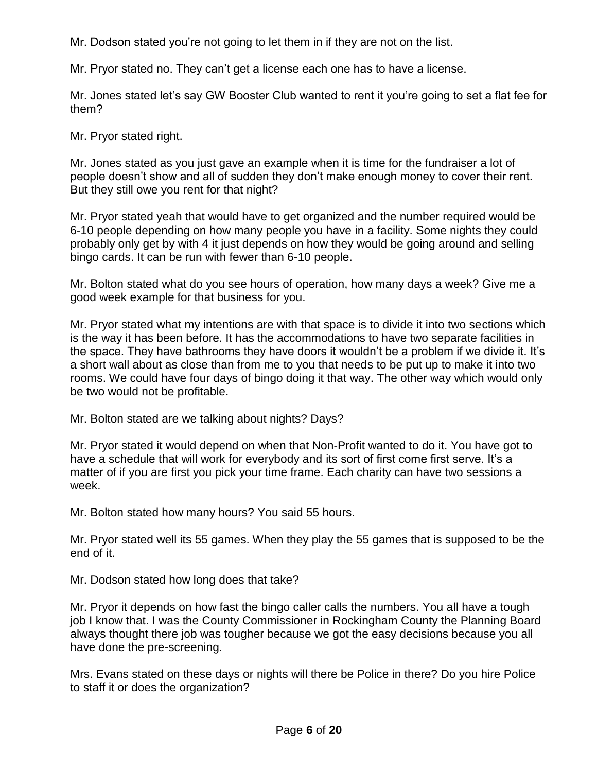Mr. Dodson stated you're not going to let them in if they are not on the list.

Mr. Pryor stated no. They can't get a license each one has to have a license.

Mr. Jones stated let's say GW Booster Club wanted to rent it you're going to set a flat fee for them?

Mr. Pryor stated right.

Mr. Jones stated as you just gave an example when it is time for the fundraiser a lot of people doesn't show and all of sudden they don't make enough money to cover their rent. But they still owe you rent for that night?

Mr. Pryor stated yeah that would have to get organized and the number required would be 6-10 people depending on how many people you have in a facility. Some nights they could probably only get by with 4 it just depends on how they would be going around and selling bingo cards. It can be run with fewer than 6-10 people.

Mr. Bolton stated what do you see hours of operation, how many days a week? Give me a good week example for that business for you.

Mr. Pryor stated what my intentions are with that space is to divide it into two sections which is the way it has been before. It has the accommodations to have two separate facilities in the space. They have bathrooms they have doors it wouldn't be a problem if we divide it. It's a short wall about as close than from me to you that needs to be put up to make it into two rooms. We could have four days of bingo doing it that way. The other way which would only be two would not be profitable.

Mr. Bolton stated are we talking about nights? Days?

Mr. Pryor stated it would depend on when that Non-Profit wanted to do it. You have got to have a schedule that will work for everybody and its sort of first come first serve. It's a matter of if you are first you pick your time frame. Each charity can have two sessions a week.

Mr. Bolton stated how many hours? You said 55 hours.

Mr. Pryor stated well its 55 games. When they play the 55 games that is supposed to be the end of it.

Mr. Dodson stated how long does that take?

Mr. Pryor it depends on how fast the bingo caller calls the numbers. You all have a tough job I know that. I was the County Commissioner in Rockingham County the Planning Board always thought there job was tougher because we got the easy decisions because you all have done the pre-screening.

Mrs. Evans stated on these days or nights will there be Police in there? Do you hire Police to staff it or does the organization?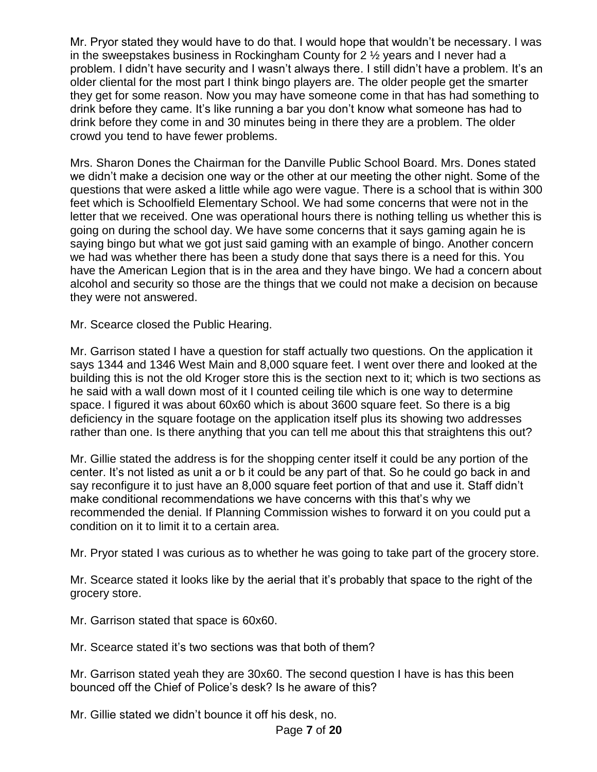Mr. Pryor stated they would have to do that. I would hope that wouldn't be necessary. I was in the sweepstakes business in Rockingham County for 2 ½ years and I never had a problem. I didn't have security and I wasn't always there. I still didn't have a problem. It's an older cliental for the most part I think bingo players are. The older people get the smarter they get for some reason. Now you may have someone come in that has had something to drink before they came. It's like running a bar you don't know what someone has had to drink before they come in and 30 minutes being in there they are a problem. The older crowd you tend to have fewer problems.

Mrs. Sharon Dones the Chairman for the Danville Public School Board. Mrs. Dones stated we didn't make a decision one way or the other at our meeting the other night. Some of the questions that were asked a little while ago were vague. There is a school that is within 300 feet which is Schoolfield Elementary School. We had some concerns that were not in the letter that we received. One was operational hours there is nothing telling us whether this is going on during the school day. We have some concerns that it says gaming again he is saying bingo but what we got just said gaming with an example of bingo. Another concern we had was whether there has been a study done that says there is a need for this. You have the American Legion that is in the area and they have bingo. We had a concern about alcohol and security so those are the things that we could not make a decision on because they were not answered.

Mr. Scearce closed the Public Hearing.

Mr. Garrison stated I have a question for staff actually two questions. On the application it says 1344 and 1346 West Main and 8,000 square feet. I went over there and looked at the building this is not the old Kroger store this is the section next to it; which is two sections as he said with a wall down most of it I counted ceiling tile which is one way to determine space. I figured it was about 60x60 which is about 3600 square feet. So there is a big deficiency in the square footage on the application itself plus its showing two addresses rather than one. Is there anything that you can tell me about this that straightens this out?

Mr. Gillie stated the address is for the shopping center itself it could be any portion of the center. It's not listed as unit a or b it could be any part of that. So he could go back in and say reconfigure it to just have an 8,000 square feet portion of that and use it. Staff didn't make conditional recommendations we have concerns with this that's why we recommended the denial. If Planning Commission wishes to forward it on you could put a condition on it to limit it to a certain area.

Mr. Pryor stated I was curious as to whether he was going to take part of the grocery store.

Mr. Scearce stated it looks like by the aerial that it's probably that space to the right of the grocery store.

Mr. Garrison stated that space is 60x60.

Mr. Scearce stated it's two sections was that both of them?

Mr. Garrison stated yeah they are 30x60. The second question I have is has this been bounced off the Chief of Police's desk? Is he aware of this?

Mr. Gillie stated we didn't bounce it off his desk, no.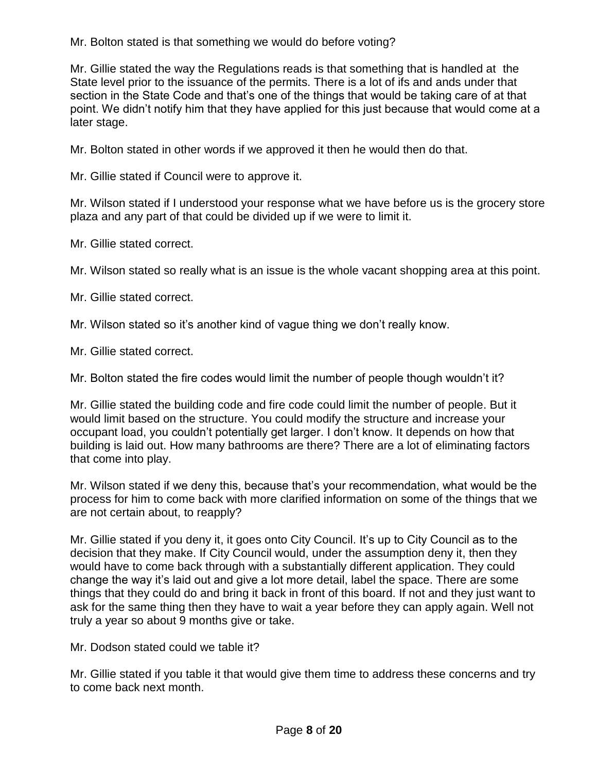Mr. Bolton stated is that something we would do before voting?

Mr. Gillie stated the way the Regulations reads is that something that is handled at the State level prior to the issuance of the permits. There is a lot of ifs and ands under that section in the State Code and that's one of the things that would be taking care of at that point. We didn't notify him that they have applied for this just because that would come at a later stage.

Mr. Bolton stated in other words if we approved it then he would then do that.

Mr. Gillie stated if Council were to approve it.

Mr. Wilson stated if I understood your response what we have before us is the grocery store plaza and any part of that could be divided up if we were to limit it.

Mr. Gillie stated correct.

Mr. Wilson stated so really what is an issue is the whole vacant shopping area at this point.

Mr. Gillie stated correct.

Mr. Wilson stated so it's another kind of vague thing we don't really know.

Mr. Gillie stated correct.

Mr. Bolton stated the fire codes would limit the number of people though wouldn't it?

Mr. Gillie stated the building code and fire code could limit the number of people. But it would limit based on the structure. You could modify the structure and increase your occupant load, you couldn't potentially get larger. I don't know. It depends on how that building is laid out. How many bathrooms are there? There are a lot of eliminating factors that come into play.

Mr. Wilson stated if we deny this, because that's your recommendation, what would be the process for him to come back with more clarified information on some of the things that we are not certain about, to reapply?

Mr. Gillie stated if you deny it, it goes onto City Council. It's up to City Council as to the decision that they make. If City Council would, under the assumption deny it, then they would have to come back through with a substantially different application. They could change the way it's laid out and give a lot more detail, label the space. There are some things that they could do and bring it back in front of this board. If not and they just want to ask for the same thing then they have to wait a year before they can apply again. Well not truly a year so about 9 months give or take.

Mr. Dodson stated could we table it?

Mr. Gillie stated if you table it that would give them time to address these concerns and try to come back next month.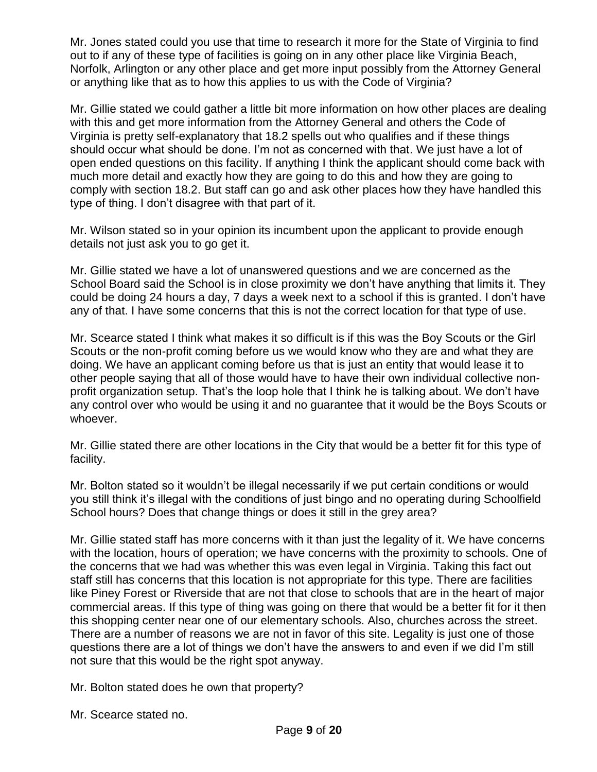Mr. Jones stated could you use that time to research it more for the State of Virginia to find out to if any of these type of facilities is going on in any other place like Virginia Beach, Norfolk, Arlington or any other place and get more input possibly from the Attorney General or anything like that as to how this applies to us with the Code of Virginia?

Mr. Gillie stated we could gather a little bit more information on how other places are dealing with this and get more information from the Attorney General and others the Code of Virginia is pretty self-explanatory that 18.2 spells out who qualifies and if these things should occur what should be done. I'm not as concerned with that. We just have a lot of open ended questions on this facility. If anything I think the applicant should come back with much more detail and exactly how they are going to do this and how they are going to comply with section 18.2. But staff can go and ask other places how they have handled this type of thing. I don't disagree with that part of it.

Mr. Wilson stated so in your opinion its incumbent upon the applicant to provide enough details not just ask you to go get it.

Mr. Gillie stated we have a lot of unanswered questions and we are concerned as the School Board said the School is in close proximity we don't have anything that limits it. They could be doing 24 hours a day, 7 days a week next to a school if this is granted. I don't have any of that. I have some concerns that this is not the correct location for that type of use.

Mr. Scearce stated I think what makes it so difficult is if this was the Boy Scouts or the Girl Scouts or the non-profit coming before us we would know who they are and what they are doing. We have an applicant coming before us that is just an entity that would lease it to other people saying that all of those would have to have their own individual collective nonprofit organization setup. That's the loop hole that I think he is talking about. We don't have any control over who would be using it and no guarantee that it would be the Boys Scouts or whoever.

Mr. Gillie stated there are other locations in the City that would be a better fit for this type of facility.

Mr. Bolton stated so it wouldn't be illegal necessarily if we put certain conditions or would you still think it's illegal with the conditions of just bingo and no operating during Schoolfield School hours? Does that change things or does it still in the grey area?

Mr. Gillie stated staff has more concerns with it than just the legality of it. We have concerns with the location, hours of operation; we have concerns with the proximity to schools. One of the concerns that we had was whether this was even legal in Virginia. Taking this fact out staff still has concerns that this location is not appropriate for this type. There are facilities like Piney Forest or Riverside that are not that close to schools that are in the heart of major commercial areas. If this type of thing was going on there that would be a better fit for it then this shopping center near one of our elementary schools. Also, churches across the street. There are a number of reasons we are not in favor of this site. Legality is just one of those questions there are a lot of things we don't have the answers to and even if we did I'm still not sure that this would be the right spot anyway.

Mr. Bolton stated does he own that property?

Mr. Scearce stated no.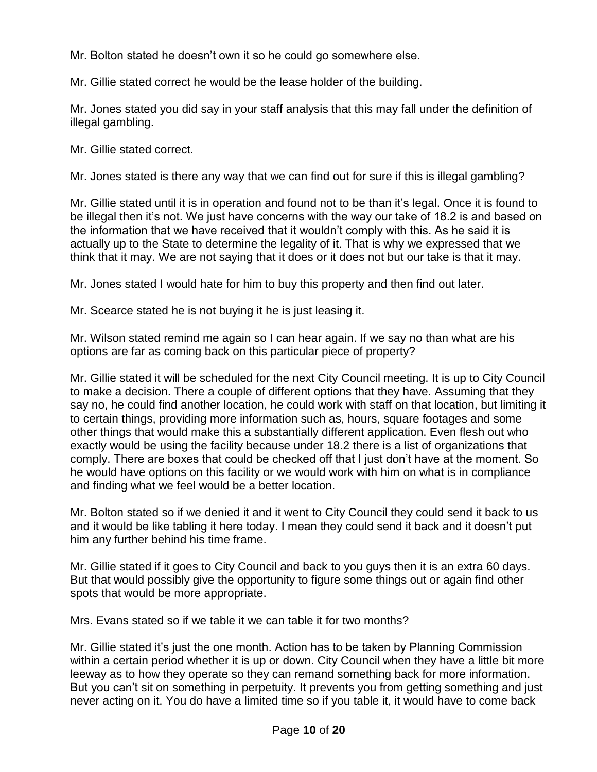Mr. Bolton stated he doesn't own it so he could go somewhere else.

Mr. Gillie stated correct he would be the lease holder of the building.

Mr. Jones stated you did say in your staff analysis that this may fall under the definition of illegal gambling.

Mr. Gillie stated correct.

Mr. Jones stated is there any way that we can find out for sure if this is illegal gambling?

Mr. Gillie stated until it is in operation and found not to be than it's legal. Once it is found to be illegal then it's not. We just have concerns with the way our take of 18.2 is and based on the information that we have received that it wouldn't comply with this. As he said it is actually up to the State to determine the legality of it. That is why we expressed that we think that it may. We are not saying that it does or it does not but our take is that it may.

Mr. Jones stated I would hate for him to buy this property and then find out later.

Mr. Scearce stated he is not buying it he is just leasing it.

Mr. Wilson stated remind me again so I can hear again. If we say no than what are his options are far as coming back on this particular piece of property?

Mr. Gillie stated it will be scheduled for the next City Council meeting. It is up to City Council to make a decision. There a couple of different options that they have. Assuming that they say no, he could find another location, he could work with staff on that location, but limiting it to certain things, providing more information such as, hours, square footages and some other things that would make this a substantially different application. Even flesh out who exactly would be using the facility because under 18.2 there is a list of organizations that comply. There are boxes that could be checked off that I just don't have at the moment. So he would have options on this facility or we would work with him on what is in compliance and finding what we feel would be a better location.

Mr. Bolton stated so if we denied it and it went to City Council they could send it back to us and it would be like tabling it here today. I mean they could send it back and it doesn't put him any further behind his time frame.

Mr. Gillie stated if it goes to City Council and back to you guys then it is an extra 60 days. But that would possibly give the opportunity to figure some things out or again find other spots that would be more appropriate.

Mrs. Evans stated so if we table it we can table it for two months?

Mr. Gillie stated it's just the one month. Action has to be taken by Planning Commission within a certain period whether it is up or down. City Council when they have a little bit more leeway as to how they operate so they can remand something back for more information. But you can't sit on something in perpetuity. It prevents you from getting something and just never acting on it. You do have a limited time so if you table it, it would have to come back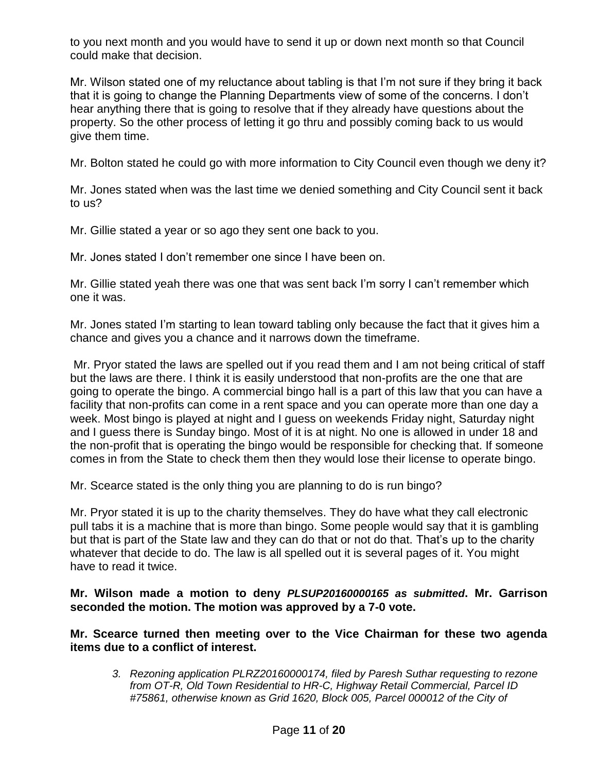to you next month and you would have to send it up or down next month so that Council could make that decision.

Mr. Wilson stated one of my reluctance about tabling is that I'm not sure if they bring it back that it is going to change the Planning Departments view of some of the concerns. I don't hear anything there that is going to resolve that if they already have questions about the property. So the other process of letting it go thru and possibly coming back to us would give them time.

Mr. Bolton stated he could go with more information to City Council even though we deny it?

Mr. Jones stated when was the last time we denied something and City Council sent it back to us?

Mr. Gillie stated a year or so ago they sent one back to you.

Mr. Jones stated I don't remember one since I have been on.

Mr. Gillie stated yeah there was one that was sent back I'm sorry I can't remember which one it was.

Mr. Jones stated I'm starting to lean toward tabling only because the fact that it gives him a chance and gives you a chance and it narrows down the timeframe.

Mr. Pryor stated the laws are spelled out if you read them and I am not being critical of staff but the laws are there. I think it is easily understood that non-profits are the one that are going to operate the bingo. A commercial bingo hall is a part of this law that you can have a facility that non-profits can come in a rent space and you can operate more than one day a week. Most bingo is played at night and I guess on weekends Friday night, Saturday night and I guess there is Sunday bingo. Most of it is at night. No one is allowed in under 18 and the non-profit that is operating the bingo would be responsible for checking that. If someone comes in from the State to check them then they would lose their license to operate bingo.

Mr. Scearce stated is the only thing you are planning to do is run bingo?

Mr. Pryor stated it is up to the charity themselves. They do have what they call electronic pull tabs it is a machine that is more than bingo. Some people would say that it is gambling but that is part of the State law and they can do that or not do that. That's up to the charity whatever that decide to do. The law is all spelled out it is several pages of it. You might have to read it twice.

**Mr. Wilson made a motion to deny** *PLSUP20160000165 as submitted***. Mr. Garrison seconded the motion. The motion was approved by a 7-0 vote.**

**Mr. Scearce turned then meeting over to the Vice Chairman for these two agenda items due to a conflict of interest.** 

*3. Rezoning application PLRZ20160000174, filed by Paresh Suthar requesting to rezone from OT-R, Old Town Residential to HR-C, Highway Retail Commercial, Parcel ID #75861, otherwise known as Grid 1620, Block 005, Parcel 000012 of the City of*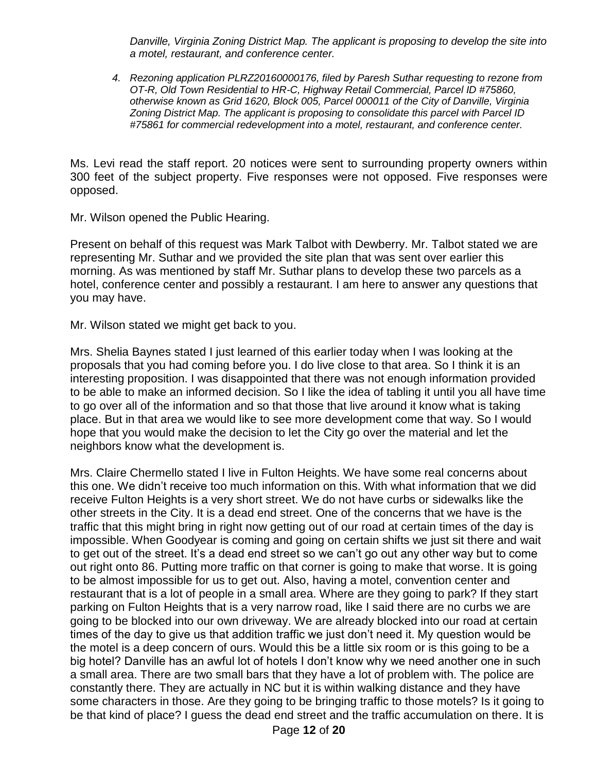*Danville, Virginia Zoning District Map. The applicant is proposing to develop the site into a motel, restaurant, and conference center.* 

*4. Rezoning application PLRZ20160000176, filed by Paresh Suthar requesting to rezone from OT-R, Old Town Residential to HR-C, Highway Retail Commercial, Parcel ID #75860, otherwise known as Grid 1620, Block 005, Parcel 000011 of the City of Danville, Virginia Zoning District Map. The applicant is proposing to consolidate this parcel with Parcel ID #75861 for commercial redevelopment into a motel, restaurant, and conference center.* 

Ms. Levi read the staff report. 20 notices were sent to surrounding property owners within 300 feet of the subject property. Five responses were not opposed. Five responses were opposed.

Mr. Wilson opened the Public Hearing.

Present on behalf of this request was Mark Talbot with Dewberry. Mr. Talbot stated we are representing Mr. Suthar and we provided the site plan that was sent over earlier this morning. As was mentioned by staff Mr. Suthar plans to develop these two parcels as a hotel, conference center and possibly a restaurant. I am here to answer any questions that you may have.

Mr. Wilson stated we might get back to you.

Mrs. Shelia Baynes stated I just learned of this earlier today when I was looking at the proposals that you had coming before you. I do live close to that area. So I think it is an interesting proposition. I was disappointed that there was not enough information provided to be able to make an informed decision. So I like the idea of tabling it until you all have time to go over all of the information and so that those that live around it know what is taking place. But in that area we would like to see more development come that way. So I would hope that you would make the decision to let the City go over the material and let the neighbors know what the development is.

Mrs. Claire Chermello stated I live in Fulton Heights. We have some real concerns about this one. We didn't receive too much information on this. With what information that we did receive Fulton Heights is a very short street. We do not have curbs or sidewalks like the other streets in the City. It is a dead end street. One of the concerns that we have is the traffic that this might bring in right now getting out of our road at certain times of the day is impossible. When Goodyear is coming and going on certain shifts we just sit there and wait to get out of the street. It's a dead end street so we can't go out any other way but to come out right onto 86. Putting more traffic on that corner is going to make that worse. It is going to be almost impossible for us to get out. Also, having a motel, convention center and restaurant that is a lot of people in a small area. Where are they going to park? If they start parking on Fulton Heights that is a very narrow road, like I said there are no curbs we are going to be blocked into our own driveway. We are already blocked into our road at certain times of the day to give us that addition traffic we just don't need it. My question would be the motel is a deep concern of ours. Would this be a little six room or is this going to be a big hotel? Danville has an awful lot of hotels I don't know why we need another one in such a small area. There are two small bars that they have a lot of problem with. The police are constantly there. They are actually in NC but it is within walking distance and they have some characters in those. Are they going to be bringing traffic to those motels? Is it going to be that kind of place? I guess the dead end street and the traffic accumulation on there. It is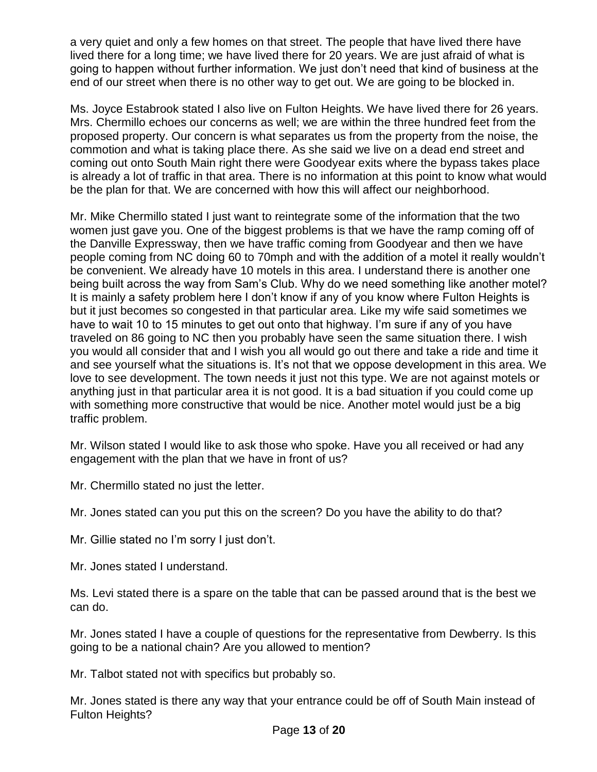a very quiet and only a few homes on that street. The people that have lived there have lived there for a long time; we have lived there for 20 years. We are just afraid of what is going to happen without further information. We just don't need that kind of business at the end of our street when there is no other way to get out. We are going to be blocked in.

Ms. Joyce Estabrook stated I also live on Fulton Heights. We have lived there for 26 years. Mrs. Chermillo echoes our concerns as well; we are within the three hundred feet from the proposed property. Our concern is what separates us from the property from the noise, the commotion and what is taking place there. As she said we live on a dead end street and coming out onto South Main right there were Goodyear exits where the bypass takes place is already a lot of traffic in that area. There is no information at this point to know what would be the plan for that. We are concerned with how this will affect our neighborhood.

Mr. Mike Chermillo stated I just want to reintegrate some of the information that the two women just gave you. One of the biggest problems is that we have the ramp coming off of the Danville Expressway, then we have traffic coming from Goodyear and then we have people coming from NC doing 60 to 70mph and with the addition of a motel it really wouldn't be convenient. We already have 10 motels in this area. I understand there is another one being built across the way from Sam's Club. Why do we need something like another motel? It is mainly a safety problem here I don't know if any of you know where Fulton Heights is but it just becomes so congested in that particular area. Like my wife said sometimes we have to wait 10 to 15 minutes to get out onto that highway. I'm sure if any of you have traveled on 86 going to NC then you probably have seen the same situation there. I wish you would all consider that and I wish you all would go out there and take a ride and time it and see yourself what the situations is. It's not that we oppose development in this area. We love to see development. The town needs it just not this type. We are not against motels or anything just in that particular area it is not good. It is a bad situation if you could come up with something more constructive that would be nice. Another motel would just be a big traffic problem.

Mr. Wilson stated I would like to ask those who spoke. Have you all received or had any engagement with the plan that we have in front of us?

Mr. Chermillo stated no just the letter.

Mr. Jones stated can you put this on the screen? Do you have the ability to do that?

Mr. Gillie stated no I'm sorry I just don't.

Mr. Jones stated I understand.

Ms. Levi stated there is a spare on the table that can be passed around that is the best we can do.

Mr. Jones stated I have a couple of questions for the representative from Dewberry. Is this going to be a national chain? Are you allowed to mention?

Mr. Talbot stated not with specifics but probably so.

Mr. Jones stated is there any way that your entrance could be off of South Main instead of Fulton Heights?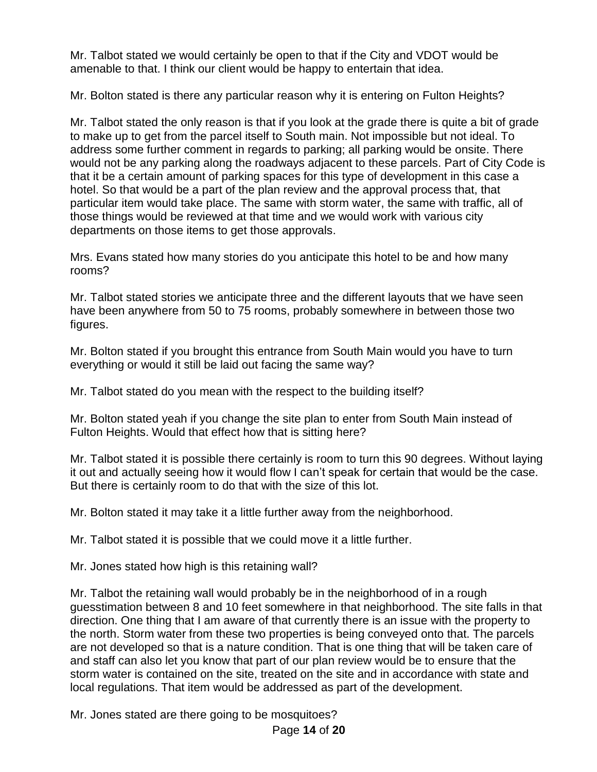Mr. Talbot stated we would certainly be open to that if the City and VDOT would be amenable to that. I think our client would be happy to entertain that idea.

Mr. Bolton stated is there any particular reason why it is entering on Fulton Heights?

Mr. Talbot stated the only reason is that if you look at the grade there is quite a bit of grade to make up to get from the parcel itself to South main. Not impossible but not ideal. To address some further comment in regards to parking; all parking would be onsite. There would not be any parking along the roadways adjacent to these parcels. Part of City Code is that it be a certain amount of parking spaces for this type of development in this case a hotel. So that would be a part of the plan review and the approval process that, that particular item would take place. The same with storm water, the same with traffic, all of those things would be reviewed at that time and we would work with various city departments on those items to get those approvals.

Mrs. Evans stated how many stories do you anticipate this hotel to be and how many rooms?

Mr. Talbot stated stories we anticipate three and the different layouts that we have seen have been anywhere from 50 to 75 rooms, probably somewhere in between those two figures.

Mr. Bolton stated if you brought this entrance from South Main would you have to turn everything or would it still be laid out facing the same way?

Mr. Talbot stated do you mean with the respect to the building itself?

Mr. Bolton stated yeah if you change the site plan to enter from South Main instead of Fulton Heights. Would that effect how that is sitting here?

Mr. Talbot stated it is possible there certainly is room to turn this 90 degrees. Without laying it out and actually seeing how it would flow I can't speak for certain that would be the case. But there is certainly room to do that with the size of this lot.

Mr. Bolton stated it may take it a little further away from the neighborhood.

Mr. Talbot stated it is possible that we could move it a little further.

Mr. Jones stated how high is this retaining wall?

Mr. Talbot the retaining wall would probably be in the neighborhood of in a rough guesstimation between 8 and 10 feet somewhere in that neighborhood. The site falls in that direction. One thing that I am aware of that currently there is an issue with the property to the north. Storm water from these two properties is being conveyed onto that. The parcels are not developed so that is a nature condition. That is one thing that will be taken care of and staff can also let you know that part of our plan review would be to ensure that the storm water is contained on the site, treated on the site and in accordance with state and local regulations. That item would be addressed as part of the development.

Mr. Jones stated are there going to be mosquitoes?

Page **14** of **20**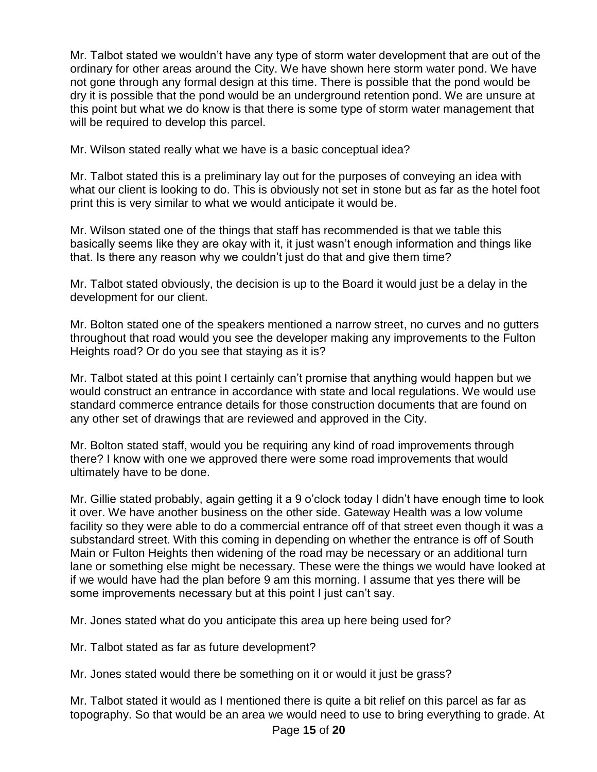Mr. Talbot stated we wouldn't have any type of storm water development that are out of the ordinary for other areas around the City. We have shown here storm water pond. We have not gone through any formal design at this time. There is possible that the pond would be dry it is possible that the pond would be an underground retention pond. We are unsure at this point but what we do know is that there is some type of storm water management that will be required to develop this parcel.

Mr. Wilson stated really what we have is a basic conceptual idea?

Mr. Talbot stated this is a preliminary lay out for the purposes of conveying an idea with what our client is looking to do. This is obviously not set in stone but as far as the hotel foot print this is very similar to what we would anticipate it would be.

Mr. Wilson stated one of the things that staff has recommended is that we table this basically seems like they are okay with it, it just wasn't enough information and things like that. Is there any reason why we couldn't just do that and give them time?

Mr. Talbot stated obviously, the decision is up to the Board it would just be a delay in the development for our client.

Mr. Bolton stated one of the speakers mentioned a narrow street, no curves and no gutters throughout that road would you see the developer making any improvements to the Fulton Heights road? Or do you see that staying as it is?

Mr. Talbot stated at this point I certainly can't promise that anything would happen but we would construct an entrance in accordance with state and local regulations. We would use standard commerce entrance details for those construction documents that are found on any other set of drawings that are reviewed and approved in the City.

Mr. Bolton stated staff, would you be requiring any kind of road improvements through there? I know with one we approved there were some road improvements that would ultimately have to be done.

Mr. Gillie stated probably, again getting it a 9 o'clock today I didn't have enough time to look it over. We have another business on the other side. Gateway Health was a low volume facility so they were able to do a commercial entrance off of that street even though it was a substandard street. With this coming in depending on whether the entrance is off of South Main or Fulton Heights then widening of the road may be necessary or an additional turn lane or something else might be necessary. These were the things we would have looked at if we would have had the plan before 9 am this morning. I assume that yes there will be some improvements necessary but at this point I just can't say.

Mr. Jones stated what do you anticipate this area up here being used for?

Mr. Talbot stated as far as future development?

Mr. Jones stated would there be something on it or would it just be grass?

Mr. Talbot stated it would as I mentioned there is quite a bit relief on this parcel as far as topography. So that would be an area we would need to use to bring everything to grade. At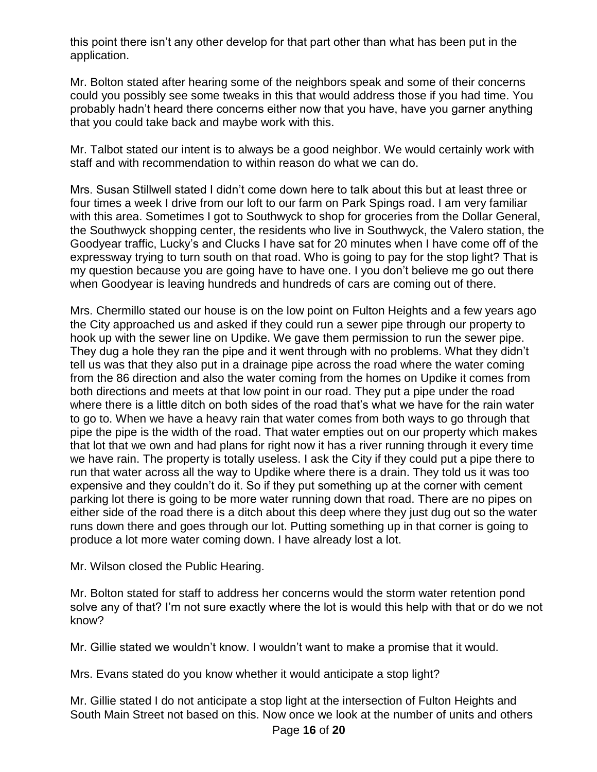this point there isn't any other develop for that part other than what has been put in the application.

Mr. Bolton stated after hearing some of the neighbors speak and some of their concerns could you possibly see some tweaks in this that would address those if you had time. You probably hadn't heard there concerns either now that you have, have you garner anything that you could take back and maybe work with this.

Mr. Talbot stated our intent is to always be a good neighbor. We would certainly work with staff and with recommendation to within reason do what we can do.

Mrs. Susan Stillwell stated I didn't come down here to talk about this but at least three or four times a week I drive from our loft to our farm on Park Spings road. I am very familiar with this area. Sometimes I got to Southwyck to shop for groceries from the Dollar General, the Southwyck shopping center, the residents who live in Southwyck, the Valero station, the Goodyear traffic, Lucky's and Clucks I have sat for 20 minutes when I have come off of the expressway trying to turn south on that road. Who is going to pay for the stop light? That is my question because you are going have to have one. I you don't believe me go out there when Goodyear is leaving hundreds and hundreds of cars are coming out of there.

Mrs. Chermillo stated our house is on the low point on Fulton Heights and a few years ago the City approached us and asked if they could run a sewer pipe through our property to hook up with the sewer line on Updike. We gave them permission to run the sewer pipe. They dug a hole they ran the pipe and it went through with no problems. What they didn't tell us was that they also put in a drainage pipe across the road where the water coming from the 86 direction and also the water coming from the homes on Updike it comes from both directions and meets at that low point in our road. They put a pipe under the road where there is a little ditch on both sides of the road that's what we have for the rain water to go to. When we have a heavy rain that water comes from both ways to go through that pipe the pipe is the width of the road. That water empties out on our property which makes that lot that we own and had plans for right now it has a river running through it every time we have rain. The property is totally useless. I ask the City if they could put a pipe there to run that water across all the way to Updike where there is a drain. They told us it was too expensive and they couldn't do it. So if they put something up at the corner with cement parking lot there is going to be more water running down that road. There are no pipes on either side of the road there is a ditch about this deep where they just dug out so the water runs down there and goes through our lot. Putting something up in that corner is going to produce a lot more water coming down. I have already lost a lot.

Mr. Wilson closed the Public Hearing.

Mr. Bolton stated for staff to address her concerns would the storm water retention pond solve any of that? I'm not sure exactly where the lot is would this help with that or do we not know?

Mr. Gillie stated we wouldn't know. I wouldn't want to make a promise that it would.

Mrs. Evans stated do you know whether it would anticipate a stop light?

Mr. Gillie stated I do not anticipate a stop light at the intersection of Fulton Heights and South Main Street not based on this. Now once we look at the number of units and others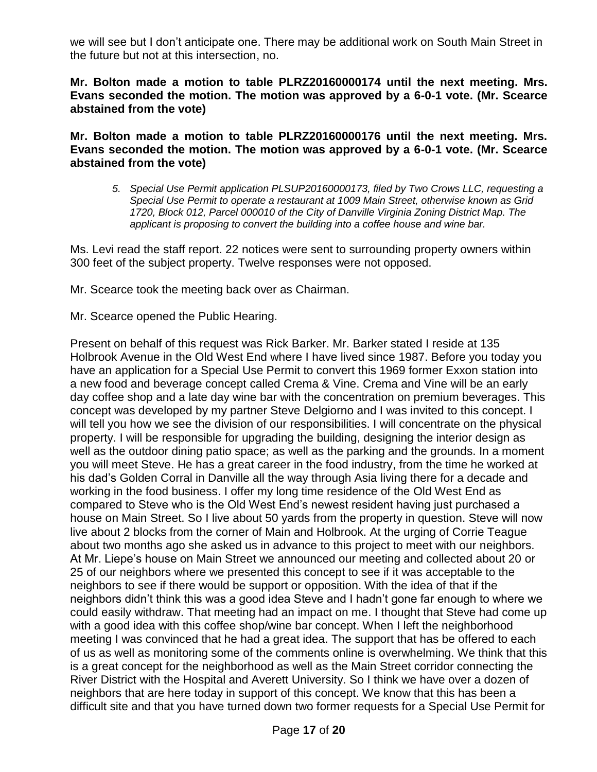we will see but I don't anticipate one. There may be additional work on South Main Street in the future but not at this intersection, no.

**Mr. Bolton made a motion to table PLRZ20160000174 until the next meeting. Mrs. Evans seconded the motion. The motion was approved by a 6-0-1 vote. (Mr. Scearce abstained from the vote)**

**Mr. Bolton made a motion to table PLRZ20160000176 until the next meeting. Mrs. Evans seconded the motion. The motion was approved by a 6-0-1 vote. (Mr. Scearce abstained from the vote)**

*5. Special Use Permit application PLSUP20160000173, filed by Two Crows LLC, requesting a Special Use Permit to operate a restaurant at 1009 Main Street, otherwise known as Grid 1720, Block 012, Parcel 000010 of the City of Danville Virginia Zoning District Map. The applicant is proposing to convert the building into a coffee house and wine bar.*

Ms. Levi read the staff report. 22 notices were sent to surrounding property owners within 300 feet of the subject property. Twelve responses were not opposed.

Mr. Scearce took the meeting back over as Chairman.

Mr. Scearce opened the Public Hearing.

Present on behalf of this request was Rick Barker. Mr. Barker stated I reside at 135 Holbrook Avenue in the Old West End where I have lived since 1987. Before you today you have an application for a Special Use Permit to convert this 1969 former Exxon station into a new food and beverage concept called Crema & Vine. Crema and Vine will be an early day coffee shop and a late day wine bar with the concentration on premium beverages. This concept was developed by my partner Steve Delgiorno and I was invited to this concept. I will tell you how we see the division of our responsibilities. I will concentrate on the physical property. I will be responsible for upgrading the building, designing the interior design as well as the outdoor dining patio space; as well as the parking and the grounds. In a moment you will meet Steve. He has a great career in the food industry, from the time he worked at his dad's Golden Corral in Danville all the way through Asia living there for a decade and working in the food business. I offer my long time residence of the Old West End as compared to Steve who is the Old West End's newest resident having just purchased a house on Main Street. So I live about 50 yards from the property in question. Steve will now live about 2 blocks from the corner of Main and Holbrook. At the urging of Corrie Teague about two months ago she asked us in advance to this project to meet with our neighbors. At Mr. Liepe's house on Main Street we announced our meeting and collected about 20 or 25 of our neighbors where we presented this concept to see if it was acceptable to the neighbors to see if there would be support or opposition. With the idea of that if the neighbors didn't think this was a good idea Steve and I hadn't gone far enough to where we could easily withdraw. That meeting had an impact on me. I thought that Steve had come up with a good idea with this coffee shop/wine bar concept. When I left the neighborhood meeting I was convinced that he had a great idea. The support that has be offered to each of us as well as monitoring some of the comments online is overwhelming. We think that this is a great concept for the neighborhood as well as the Main Street corridor connecting the River District with the Hospital and Averett University. So I think we have over a dozen of neighbors that are here today in support of this concept. We know that this has been a difficult site and that you have turned down two former requests for a Special Use Permit for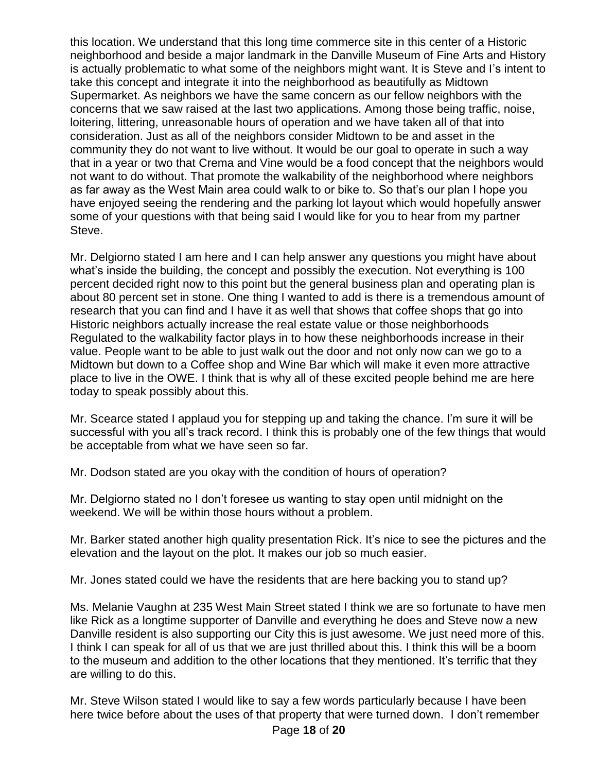this location. We understand that this long time commerce site in this center of a Historic neighborhood and beside a major landmark in the Danville Museum of Fine Arts and History is actually problematic to what some of the neighbors might want. It is Steve and I's intent to take this concept and integrate it into the neighborhood as beautifully as Midtown Supermarket. As neighbors we have the same concern as our fellow neighbors with the concerns that we saw raised at the last two applications. Among those being traffic, noise, loitering, littering, unreasonable hours of operation and we have taken all of that into consideration. Just as all of the neighbors consider Midtown to be and asset in the community they do not want to live without. It would be our goal to operate in such a way that in a year or two that Crema and Vine would be a food concept that the neighbors would not want to do without. That promote the walkability of the neighborhood where neighbors as far away as the West Main area could walk to or bike to. So that's our plan I hope you have enjoyed seeing the rendering and the parking lot layout which would hopefully answer some of your questions with that being said I would like for you to hear from my partner Steve.

Mr. Delgiorno stated I am here and I can help answer any questions you might have about what's inside the building, the concept and possibly the execution. Not everything is 100 percent decided right now to this point but the general business plan and operating plan is about 80 percent set in stone. One thing I wanted to add is there is a tremendous amount of research that you can find and I have it as well that shows that coffee shops that go into Historic neighbors actually increase the real estate value or those neighborhoods Regulated to the walkability factor plays in to how these neighborhoods increase in their value. People want to be able to just walk out the door and not only now can we go to a Midtown but down to a Coffee shop and Wine Bar which will make it even more attractive place to live in the OWE. I think that is why all of these excited people behind me are here today to speak possibly about this.

Mr. Scearce stated I applaud you for stepping up and taking the chance. I'm sure it will be successful with you all's track record. I think this is probably one of the few things that would be acceptable from what we have seen so far.

Mr. Dodson stated are you okay with the condition of hours of operation?

Mr. Delgiorno stated no I don't foresee us wanting to stay open until midnight on the weekend. We will be within those hours without a problem.

Mr. Barker stated another high quality presentation Rick. It's nice to see the pictures and the elevation and the layout on the plot. It makes our job so much easier.

Mr. Jones stated could we have the residents that are here backing you to stand up?

Ms. Melanie Vaughn at 235 West Main Street stated I think we are so fortunate to have men like Rick as a longtime supporter of Danville and everything he does and Steve now a new Danville resident is also supporting our City this is just awesome. We just need more of this. I think I can speak for all of us that we are just thrilled about this. I think this will be a boom to the museum and addition to the other locations that they mentioned. It's terrific that they are willing to do this.

Mr. Steve Wilson stated I would like to say a few words particularly because I have been here twice before about the uses of that property that were turned down. I don't remember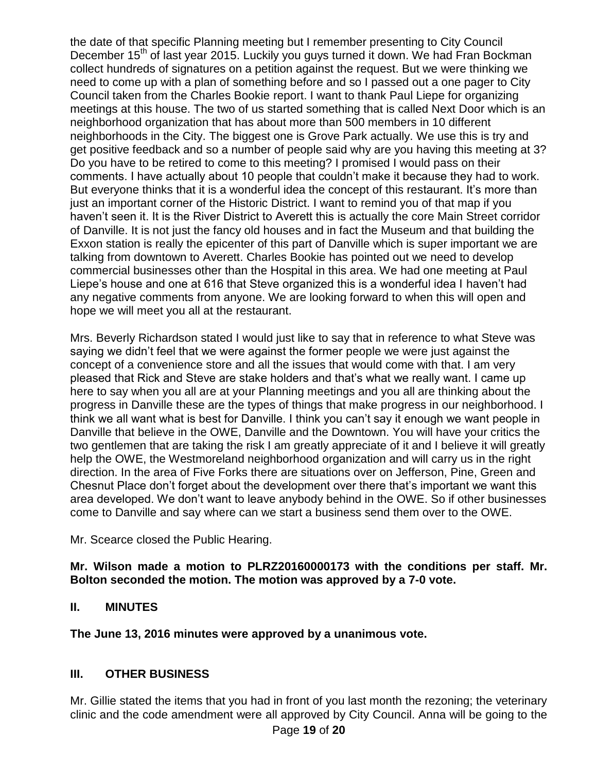the date of that specific Planning meeting but I remember presenting to City Council December 15<sup>th</sup> of last year 2015. Luckily you guys turned it down. We had Fran Bockman collect hundreds of signatures on a petition against the request. But we were thinking we need to come up with a plan of something before and so I passed out a one pager to City Council taken from the Charles Bookie report. I want to thank Paul Liepe for organizing meetings at this house. The two of us started something that is called Next Door which is an neighborhood organization that has about more than 500 members in 10 different neighborhoods in the City. The biggest one is Grove Park actually. We use this is try and get positive feedback and so a number of people said why are you having this meeting at 3? Do you have to be retired to come to this meeting? I promised I would pass on their comments. I have actually about 10 people that couldn't make it because they had to work. But everyone thinks that it is a wonderful idea the concept of this restaurant. It's more than just an important corner of the Historic District. I want to remind you of that map if you haven't seen it. It is the River District to Averett this is actually the core Main Street corridor of Danville. It is not just the fancy old houses and in fact the Museum and that building the Exxon station is really the epicenter of this part of Danville which is super important we are talking from downtown to Averett. Charles Bookie has pointed out we need to develop commercial businesses other than the Hospital in this area. We had one meeting at Paul Liepe's house and one at 616 that Steve organized this is a wonderful idea I haven't had any negative comments from anyone. We are looking forward to when this will open and hope we will meet you all at the restaurant.

Mrs. Beverly Richardson stated I would just like to say that in reference to what Steve was saying we didn't feel that we were against the former people we were just against the concept of a convenience store and all the issues that would come with that. I am very pleased that Rick and Steve are stake holders and that's what we really want. I came up here to say when you all are at your Planning meetings and you all are thinking about the progress in Danville these are the types of things that make progress in our neighborhood. I think we all want what is best for Danville. I think you can't say it enough we want people in Danville that believe in the OWE, Danville and the Downtown. You will have your critics the two gentlemen that are taking the risk I am greatly appreciate of it and I believe it will greatly help the OWE, the Westmoreland neighborhood organization and will carry us in the right direction. In the area of Five Forks there are situations over on Jefferson, Pine, Green and Chesnut Place don't forget about the development over there that's important we want this area developed. We don't want to leave anybody behind in the OWE. So if other businesses come to Danville and say where can we start a business send them over to the OWE.

Mr. Scearce closed the Public Hearing.

**Mr. Wilson made a motion to PLRZ20160000173 with the conditions per staff. Mr. Bolton seconded the motion. The motion was approved by a 7-0 vote.**

# **II. MINUTES**

**The June 13, 2016 minutes were approved by a unanimous vote.**

# **III. OTHER BUSINESS**

Mr. Gillie stated the items that you had in front of you last month the rezoning; the veterinary clinic and the code amendment were all approved by City Council. Anna will be going to the